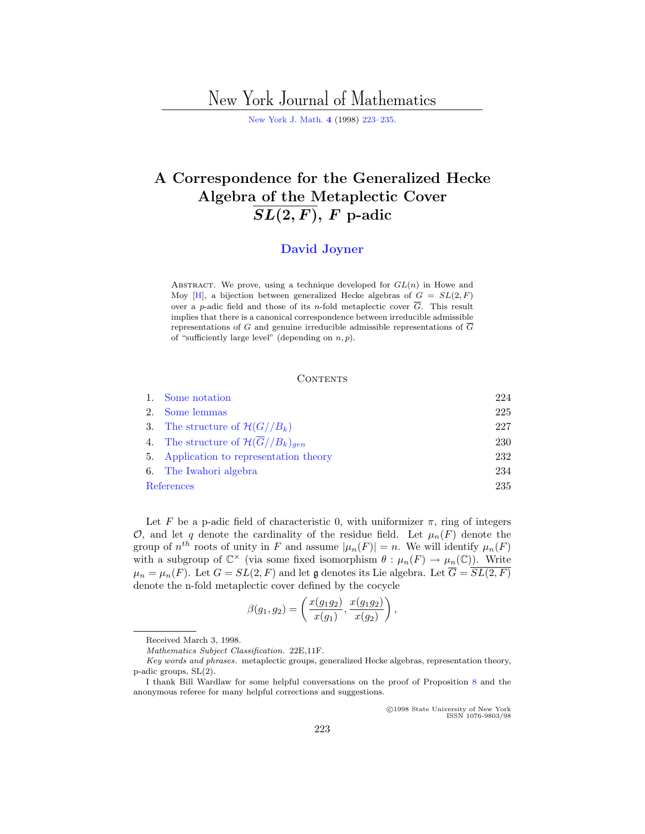# New York Journal of Mathematics

[New York J. Math.](http://nyjm.albany.edu:8000/nyjm.html) **[4](http://nyjm.albany.edu:8000/j/1998/Vol4.html)** (1998) [223–235.](http://nyjm.albany.edu:8000/j/1998/4-14.html)

## **A Correspondence for the Generalized Hecke Algebra of the Metaplectic Cover**  $\overline{SL(2,F)}$ , *F* p-adic

### **[David Joyner](#page-12-0)**

ABSTRACT. We prove, using a technique developed for  $GL(n)$  in Howe and Moy [\[H\]](#page-12-0), a bijection between generalized Hecke algebras of  $G = SL(2, F)$ over a p-adic field and those of its n-fold metaplectic cover  $\overline{G}$ . This result implies that there is a canonical correspondence between irreducible admissible representations of G and genuine irreducible admissible representations of  $\overline{G}$ of "sufficiently large level" (depending on  $n, p$ ).

#### **CONTENTS**

|            | 1. Some notation                                           | 224 |
|------------|------------------------------------------------------------|-----|
|            | 2. Some lemmas                                             | 225 |
|            | 3. The structure of $\mathcal{H}(G//B_k)$                  | 227 |
|            | 4. The structure of $\mathcal{H}(\overline{G}//B_k)_{gen}$ | 230 |
|            | 5. Application to representation theory                    | 232 |
|            | 6. The Iwahori algebra                                     | 234 |
| References |                                                            | 235 |

Let F be a p-adic field of characteristic 0, with uniformizer  $\pi$ , ring of integers O, and let q denote the cardinality of the residue field. Let  $\mu_n(F)$  denote the group of  $n^{th}$  roots of unity in F and assume  $|\mu_n(F)| = n$ . We will identify  $\mu_n(F)$ with a subgroup of  $\mathbb{C}^\times$  (via some fixed isomorphism  $\theta : \mu_n(F) \to \mu_n(\mathbb{C})$ ). Write  $\mu_n = \mu_n(F)$ . Let  $G = SL(2, F)$  and let g denotes its Lie algebra. Let  $\overline{G} = \overline{SL(2, F)}$ denote the n-fold metaplectic cover defined by the cocycle

$$
\beta(g_1,g_2)=\left(\frac{x(g_1g_2)}{x(g_1)},\frac{x(g_1g_2)}{x(g_2)}\right),\,
$$

c 1998 State University of New York ISSN 1076-9803/98

Received March 3, 1998.

Mathematics Subject Classification. 22E,11F.

Key words and phrases. metaplectic groups, generalized Hecke algebras, representation theory, p-adic groups, SL(2).

I thank Bill Wardlaw for some helpful conversations on the proof of Proposition [8](#page-4-0) and the anonymous referee for many helpful corrections and suggestions.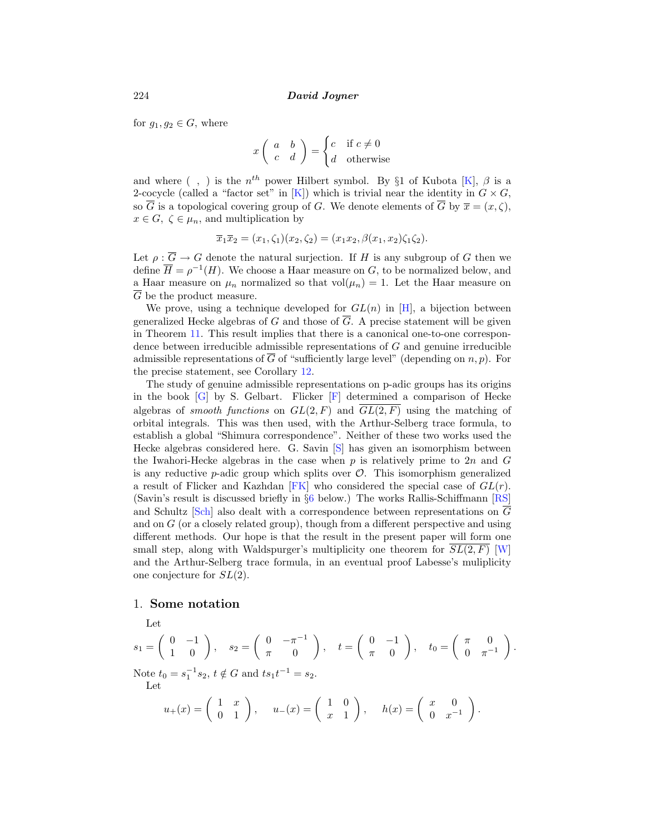<span id="page-1-0"></span>for  $g_1, g_2 \in G$ , where

$$
x \left( \begin{array}{cc} a & b \\ c & d \end{array} \right) = \begin{cases} c & \text{if } c \neq 0 \\ d & \text{otherwise} \end{cases}
$$

and where (, ) is the  $n^{th}$  power Hilbert symbol. By §1 of Kubota [[K\]](#page-12-0),  $\beta$  is a 2-cocycle (called a "factor set" in [\[K](#page-12-0)]) which is trivial near the identity in  $G \times G$ , so  $\overline{G}$  is a topological covering group of G. We denote elements of  $\overline{G}$  by  $\overline{x} = (x, \zeta)$ ,  $x \in G$ ,  $\zeta \in \mu_n$ , and multiplication by

$$
\overline{x}_1 \overline{x}_2 = (x_1, \zeta_1)(x_2, \zeta_2) = (x_1 x_2, \beta(x_1, x_2)\zeta_1 \zeta_2).
$$

Let  $\rho : \overline{G} \to G$  denote the natural surjection. If H is any subgroup of G then we define  $\overline{H} = \rho^{-1}(H)$ . We choose a Haar measure on G, to be normalized below, and a Haar measure on  $\mu_n$  normalized so that vol $(\mu_n) = 1$ . Let the Haar measure on  $\overline{G}$  be the product measure.

We prove, using a technique developed for  $GL(n)$  in [[H](#page-12-0)], a bijection between generalized Hecke algebras of G and those of  $\overline{G}$ . A precise statement will be given in Theorem [11](#page-9-0). This result implies that there is a canonical one-to-one correspondence between irreducible admissible representations of G and genuine irreducible admissible representations of  $\overline{G}$  of "sufficiently large level" (depending on n, p). For the precise statement, see Corollary [12.](#page-9-0)

The study of genuine admissible representations on p-adic groups has its origins in the book  $[G]$  $[G]$  by S. Gelbart. [F](#page-12-0)licker  $[F]$  determined a comparison of Hecke algebras of *smooth functions* on  $GL(2, F)$  and  $\overline{GL(2, F)}$  using the matching of orbital integrals. This was then used, with the Arthur-Selberg trace formula, to establish a global "Shimura correspondence". Neither of these two works used the Hecke algebras considered here. G. Savin [[S](#page-12-0)] has given an isomorphism between the Iwahori-Hecke algebras in the case when p is relatively prime to  $2n$  and G is any reductive  $p$ -adic group which splits over  $\mathcal O$ . This isomorphism generalized a result of Flicker and Kazhdan [[FK\]](#page-12-0) who considered the special case of  $GL(r)$ . (Savin's result is discussed briefly in §[6](#page-11-0) below.) The works Rallis-Schiffmann [[RS\]](#page-12-0) and Schultz [[Sch\]](#page-12-0) also dealt with a correspondence between representations on  $\overline{G}$ and on  $G$  (or a closely related group), though from a different perspective and using different methods. Our hope is that the result in the present paper will form one small step, along with Waldspurger's multiplicity one theorem for  $SL(2, F)$  [\[W\]](#page-12-0) and the Arthur-Selberg trace formula, in an eventual proof Labesse's muliplicity one conjecture for SL(2).

#### 1. **Some notation**

Let

$$
s_1 = \begin{pmatrix} 0 & -1 \\ 1 & 0 \end{pmatrix}, \quad s_2 = \begin{pmatrix} 0 & -\pi^{-1} \\ \pi & 0 \end{pmatrix}, \quad t = \begin{pmatrix} 0 & -1 \\ \pi & 0 \end{pmatrix}, \quad t_0 = \begin{pmatrix} \pi & 0 \\ 0 & \pi^{-1} \end{pmatrix}.
$$
  
Note  $t_0 = s_1^{-1} s_2, t \notin G$  and  $t s_1 t^{-1} = s_2$ .  
Let  

$$
u_+(x) = \begin{pmatrix} 1 & x \\ 0 & 1 \end{pmatrix}, \quad u_-(x) = \begin{pmatrix} 1 & 0 \\ x & 1 \end{pmatrix}, \quad h(x) = \begin{pmatrix} x & 0 \\ 0 & x^{-1} \end{pmatrix}.
$$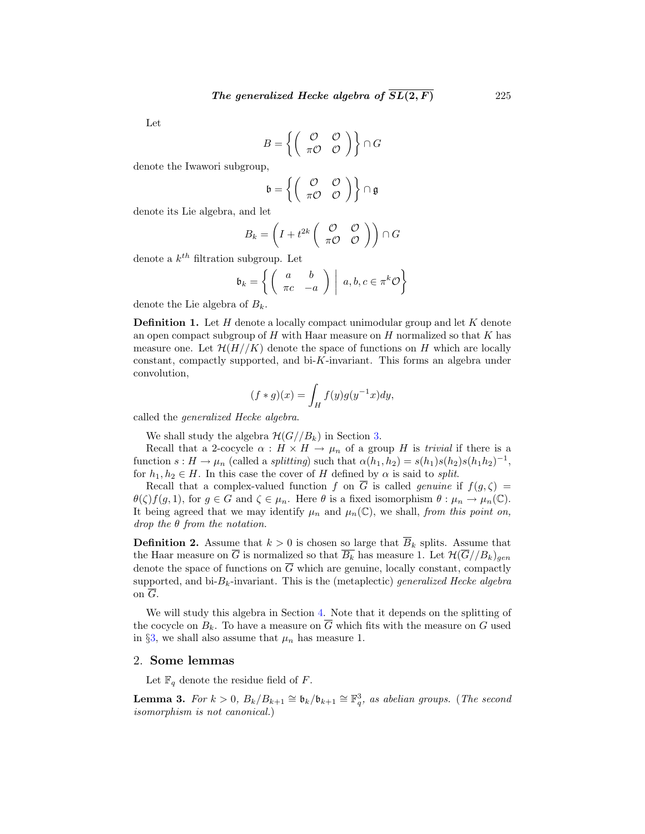<span id="page-2-0"></span>Let

$$
B = \left\{ \left( \begin{array}{cc} \mathcal{O} & \mathcal{O} \\ \pi \mathcal{O} & \mathcal{O} \end{array} \right) \right\} \cap G
$$

denote the Iwawori subgroup,

$$
\mathfrak{b} = \left\{ \left( \begin{array}{cc} \mathcal{O} & \mathcal{O} \\ \pi \mathcal{O} & \mathcal{O} \end{array} \right) \right\} \cap \mathfrak{g}
$$

denote its Lie algebra, and let

$$
B_k = \left(I + t^{2k}\left(\begin{array}{cc} \mathcal{O} & \mathcal{O} \\ \pi\mathcal{O} & \mathcal{O} \end{array}\right)\right)\cap G
$$

denote a  $k^{th}$  filtration subgroup. Let

$$
\mathfrak{b}_k = \left\{ \left( \begin{array}{cc} a & b \\ \pi c & -a \end{array} \right) \middle| \ a, b, c \in \pi^k \mathcal{O} \right\}
$$

denote the Lie algebra of  $B_k$ .

**Definition 1.** Let H denote a locally compact unimodular group and let K denote an open compact subgroup of  $H$  with Haar measure on  $H$  normalized so that  $K$  has measure one. Let  $\mathcal{H}(H//K)$  denote the space of functions on H which are locally constant, compactly supported, and bi-K-invariant. This forms an algebra under convolution,

$$
(f*g)(x)=\int_H f(y)g(y^{-1}x)dy,
$$

called the generalized Hecke algebra.

We shall study the algebra  $\mathcal{H}(G//B_k)$  in Section [3.](#page-4-0)

Recall that a 2-cocycle  $\alpha : H \times H \to \mu_n$  of a group H is *trivial* if there is a function  $s : H \to \mu_n$  (called a *splitting*) such that  $\alpha(h_1, h_2) = s(h_1)s(h_2)s(h_1h_2)^{-1}$ , for  $h_1, h_2 \in H$ . In this case the cover of H defined by  $\alpha$  is said to *split*.

Recall that a complex-valued function f on  $\overline{G}$  is called genuine if  $f(g,\zeta) =$  $\theta(\zeta)f(g,1)$ , for  $g \in G$  and  $\zeta \in \mu_n$ . Here  $\theta$  is a fixed isomorphism  $\theta : \mu_n \to \mu_n(\mathbb{C})$ . It being agreed that we may identify  $\mu_n$  and  $\mu_n(\mathbb{C})$ , we shall, from this point on,  $drop the θ from the notation.$ 

**Definition 2.** Assume that  $k > 0$  is chosen so large that  $\overline{B}_k$  splits. Assume that the Haar measure on  $\overline{G}$  is normalized so that  $\overline{B_k}$  has measure 1. Let  $\mathcal{H}(\overline{G}/B_k)_{gen}$ denote the space of functions on  $\overline{G}$  which are genuine, locally constant, compactly supported, and  $bi-B_k$ -invariant. This is the (metaplectic) generalized Hecke algebra on G.

We will study this algebra in Section [4.](#page-7-0) Note that it depends on the splitting of the cocycle on  $B_k$ . To have a measure on  $\overline{G}$  which fits with the measure on G used in §[3,](#page-4-0) we shall also assume that  $\mu_n$  has measure 1.

#### 2. **Some lemmas**

Let  $\mathbb{F}_q$  denote the residue field of F.

**Lemma 3.** For  $k > 0$ ,  $B_k/B_{k+1} \cong \mathfrak{b}_k/\mathfrak{b}_{k+1} \cong \mathbb{F}_q^3$ , as abelian groups. (The second isomorphism is not canonical.)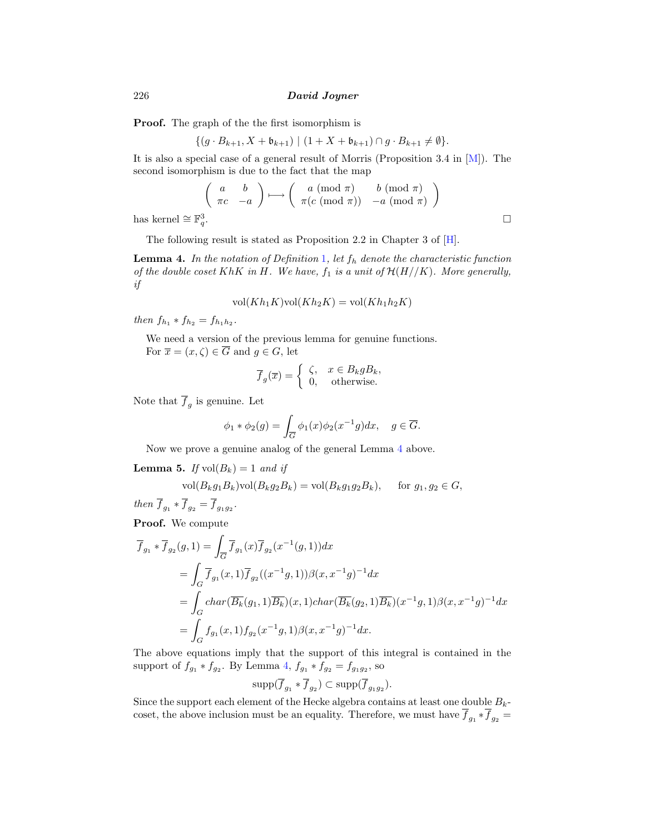**Proof.** The graph of the the first isomorphism is

$$
\{(g \cdot B_{k+1}, X + \mathfrak{b}_{k+1}) \mid (1 + X + \mathfrak{b}_{k+1}) \cap g \cdot B_{k+1} \neq \emptyset\}.
$$

It is also a special case of a general result of Morris (Proposition 3.4 in  $[M]$  $[M]$ ). The second isomorphism is due to the fact that the map

$$
\begin{pmatrix} a & b \\ \pi c & -a \end{pmatrix} \longmapsto \begin{pmatrix} a \pmod{\pi} & b \pmod{\pi} \\ \pi(c \pmod{\pi}) & -a \pmod{\pi} \end{pmatrix}
$$

has kernel ≅  $\mathbb{F}_q^3$ .

The following result is stated as Proposition 2.2 in Chapter 3 of [[H](#page-12-0)].

**Lemma 4.** In the notation of Definition [1](#page-2-0), let  $f_h$  denote the characteristic function of the double coset KhK in H. We have,  $f_1$  is a unit of  $H(H//K)$ . More generally, if

$$
vol(Kh_1K)vol(Kh_2K) = vol(Kh_1h_2K)
$$

then  $f_{h_1} * f_{h_2} = f_{h_1h_2}$ .

We need a version of the previous lemma for genuine functions. For  $\overline{x} = (x, \zeta) \in \overline{G}$  and  $g \in G$ , let

$$
\overline{f}_g(\overline{x}) = \begin{cases} \zeta, & x \in B_k g B_k, \\ 0, & \text{otherwise.} \end{cases}
$$

Note that  $\overline{f}_g$  is genuine. Let

$$
\phi_1 * \phi_2(g) = \int_{\overline{G}} \phi_1(x)\phi_2(x^{-1}g)dx, \quad g \in \overline{G}.
$$

Now we prove a genuine analog of the general Lemma 4 above.

**Lemma 5.** If  $vol(B_k)=1$  and if

$$
\text{vol}(B_k g_1 B_k) \text{vol}(B_k g_2 B_k) = \text{vol}(B_k g_1 g_2 B_k), \quad \text{for } g_1, g_2 \in G,
$$

then  $\overline{f}_{g_1} * \overline{f}_{g_2} = \overline{f}_{g_1g_2}$ .

**Proof.** We compute

$$
\overline{f}_{g_1} * \overline{f}_{g_2}(g,1) = \int_{\overline{G}} \overline{f}_{g_1}(x) \overline{f}_{g_2}(x^{-1}(g,1)) dx
$$
  
\n
$$
= \int_{G} \overline{f}_{g_1}(x,1) \overline{f}_{g_2}((x^{-1}g,1)) \beta(x,x^{-1}g)^{-1} dx
$$
  
\n
$$
= \int_{G} char(\overline{B_k}(g_1,1) \overline{B_k})(x,1) char(\overline{B_k}(g_2,1) \overline{B_k})(x^{-1}g,1) \beta(x,x^{-1}g)^{-1} dx
$$
  
\n
$$
= \int_{G} f_{g_1}(x,1) f_{g_2}(x^{-1}g,1) \beta(x,x^{-1}g)^{-1} dx.
$$

The above equations imply that the support of this integral is contained in the support of  $f_{g_1} * f_{g_2}$ . By Lemma 4,  $f_{g_1} * f_{g_2} = f_{g_1g_2}$ , so

$$
\text{supp}(\overline{f}_{g_1} * \overline{f}_{g_2}) \subset \text{supp}(\overline{f}_{g_1g_2}).
$$

Since the support each element of the Hecke algebra contains at least one double  $B_k$ coset, the above inclusion must be an equality. Therefore, we must have  $\overline{f}_{g_1} * \overline{f}_{g_2} =$ 

<span id="page-3-0"></span>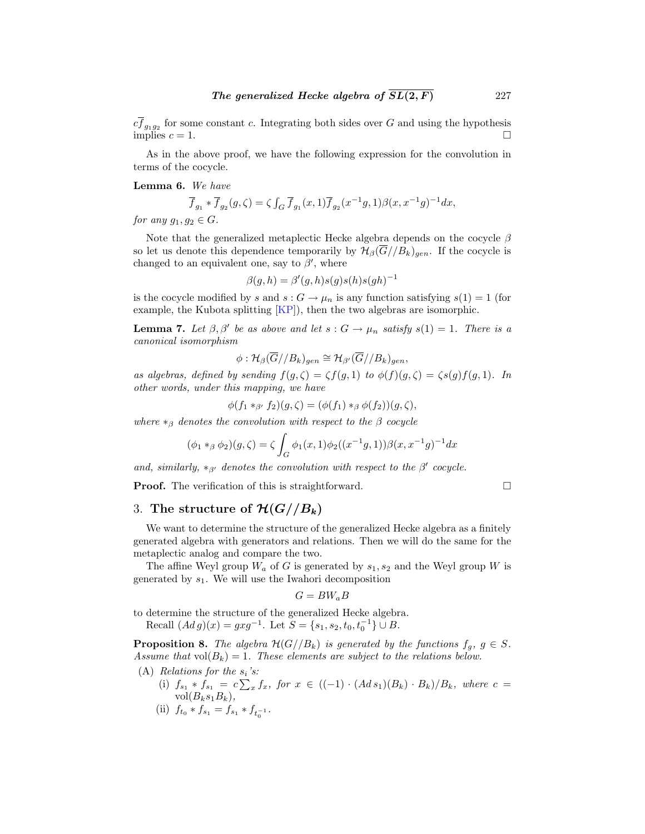<span id="page-4-0"></span> $cf_{g_1g_2}$  for some constant c. Integrating both sides over G and using the hypothesis implies  $c = 1$ .

As in the above proof, we have the following expression for the convolution in terms of the cocycle.

**Lemma 6.** We have

$$
\overline{f}_{g_1} * \overline{f}_{g_2}(g,\zeta) = \zeta \int_G \overline{f}_{g_1}(x,1) \overline{f}_{g_2}(x^{-1}g,1) \beta(x,x^{-1}g)^{-1} dx,
$$

for any  $g_1, g_2 \in G$ .

Note that the generalized metaplectic Hecke algebra depends on the cocycle  $\beta$ so let us denote this dependence temporarily by  $\mathcal{H}_{\beta}(\overline{G}//B_k)_{gen}$ . If the cocycle is changed to an equivalent one, say to  $\beta'$ , where

$$
\beta(g, h) = \beta'(g, h)s(g)s(h)s(gh)^{-1}
$$

is the cocycle modified by s and  $s: G \to \mu_n$  is any function satisfying  $s(1) = 1$  (for example, the Kubota splitting  $[KP]$ , then the two algebras are isomorphic.

**Lemma 7.** Let  $\beta$ ,  $\beta'$  be as above and let  $s : G \to \mu_n$  satisfy  $s(1) = 1$ . There is a canonical isomorphism

$$
\phi: \mathcal{H}_{\beta}(\overline{G}//B_k)_{gen} \cong \mathcal{H}_{\beta'}(\overline{G}//B_k)_{gen},
$$

as algebras, defined by sending  $f(g,\zeta) = \zeta f(g,1)$  to  $\phi(f)(g,\zeta) = \zeta s(g)f(g,1)$ . In other words, under this mapping, we have

$$
\phi(f_1 *_{\beta'} f_2)(g,\zeta) = (\phi(f_1) *_{\beta} \phi(f_2))(g,\zeta),
$$

where  $*_\beta$  denotes the convolution with respect to the  $\beta$  cocycle

$$
(\phi_1 *_\beta \phi_2)(g,\zeta) = \zeta \int_G \phi_1(x,1) \phi_2((x^{-1}g,1)) \beta(x,x^{-1}g)^{-1} dx
$$

and, similarly, \*<sub>β'</sub> denotes the convolution with respect to the β' cocycle.

**Proof.** The verification of this is straightforward. □

## 3. The structure of  $\mathcal{H}(G//B_k)$

We want to determine the structure of the generalized Hecke algebra as a finitely generated algebra with generators and relations. Then we will do the same for the metaplectic analog and compare the two.

The affine Weyl group  $W_a$  of G is generated by  $s_1, s_2$  and the Weyl group W is generated by  $s_1$ . We will use the Iwahori decomposition

$$
G = BW_aB
$$

to determine the structure of the generalized Hecke algebra.

Recall  $(Ad g)(x) = gxg^{-1}$ . Let  $S = \{s_1, s_2, t_0, t_0^{-1}\} \cup B$ .

**Proposition 8.** The algebra  $\mathcal{H}(G//B_k)$  is generated by the functions  $f_g$ ,  $g \in S$ . Assume that  $vol(B_k)=1$ . These elements are subject to the relations below.

- (A) Relations for the  $s_i$ 's:
	- (i)  $f_{s_1} * f_{s_1} = c \sum_x f_x$ , for  $x \in ((-1) \cdot (Ad s_1)(B_k) \cdot B_k)/B_k$ , where  $c =$  $vol(B_ks_1B_k),$
	- (ii)  $f_{t_0} * f_{s_1} = f_{s_1} * f_{t_0^{-1}}.$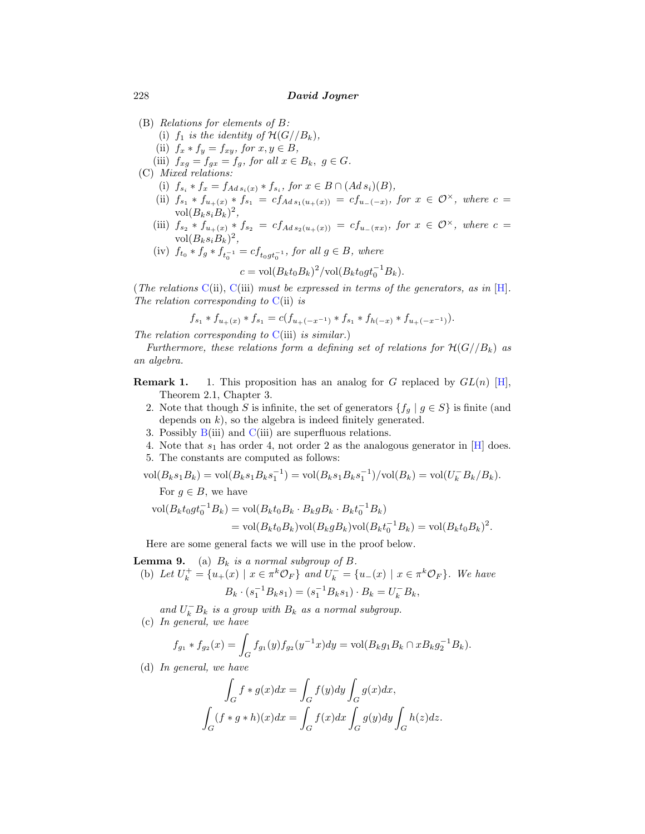- (B) Relations for elements of B:
	- (i)  $f_1$  is the identity of  $\mathcal{H}(G//B_k)$ ,
	- (ii)  $f_x * f_y = f_{xy}$ , for  $x, y \in B$ ,
	- (iii)  $f_{xg} = f_{gx} = f_g$ , for all  $x \in B_k$ ,  $g \in G$ .
- (C) Mixed relations:
	- (i)  $f_{s_i} * f_x = f_{Ad\, s_i(x)} * f_{s_i}, \text{ for } x \in B \cap (Ad\, s_i)(B),$
	- (ii)  $f_{s_1} * f_{u_+(x)} * f_{s_1} = cf_{Ads_1(u_+(x))} = cf_{u_-(-x)}$ , for  $x \in \mathcal{O}^{\times}$ , where  $c =$ vol $(B_ks_iB_k)^2$ ,
	- (iii)  $f_{s_2} * f_{u_+(x)} * f_{s_2} = cf_{Ad\, s_2(u_+(x))} = cf_{u_-(\pi x)},$  for  $x \in \mathcal{O}^\times$ , where  $c =$  $vol(B_ks_iB_k)^2$ ,
	- (iv)  $f_{t_0} * f_g * f_{t_0^{-1}} = cf_{t_0gt_0^{-1}}$ , for all  $g \in B$ , where

$$
c = \text{vol}(B_k t_0 B_k)^2/\text{vol}(B_k t_0 g t_0^{-1} B_k).
$$

(The relations C(ii), C(iii) must be expressed in terms of the generators, as in  $[H]$ . The relation corresponding to  $C(i)$  is

$$
f_{s_1} * f_{u_+(x)} * f_{s_1} = c(f_{u_+(-x^{-1})} * f_{s_1} * f_{h(-x)} * f_{u_+(-x^{-1})}).
$$

The relation corresponding to  $C(iii)$  is similar.)

Furthermore, these relations form a defining set of relations for  $H(G//B_k)$  as an algebra.

- **Remark 1.** 1. This proposition has an analog for G replaced by  $GL(n)$  [\[H\]](#page-12-0), Theorem 2.1, Chapter 3.
	- 2. Note that though S is infinite, the set of generators  $\{f_g | g \in S\}$  is finite (and depends on  $k$ ), so the algebra is indeed finitely generated.
	- 3. Possibly  $B(iii)$  and  $C(iii)$  are superfluous relations.
	- 4. Note that  $s_1$  has order 4, not order 2 as the analogous generator in [[H](#page-12-0)] does.
	- 5. The constants are computed as follows:

$$
\text{vol}(B_k s_1 B_k) = \text{vol}(B_k s_1 B_k s_1^{-1}) = \text{vol}(B_k s_1 B_k s_1^{-1})/\text{vol}(B_k) = \text{vol}(U_k^{-1} B_k / B_k).
$$

For  $g \in B$ , we have

$$
\text{vol}(B_k t_0 g t_0^{-1} B_k) = \text{vol}(B_k t_0 B_k \cdot B_k g B_k \cdot B_k t_0^{-1} B_k)
$$
  
= 
$$
\text{vol}(B_k t_0 B_k) \text{vol}(B_k g B_k) \text{vol}(B_k t_0^{-1} B_k) = \text{vol}(B_k t_0 B_k)^2.
$$

Here are some general facts we will use in the proof below.

**Lemma 9.** (a)  $B_k$  is a normal subgroup of  $B$ .

(b) Let  $U_k^+ = \{u_+(x) \mid x \in \pi^k \mathcal{O}_F\}$  and  $U_k^- = \{u_-(x) \mid x \in \pi^k \mathcal{O}_F\}$ . We have  $B_k \cdot (s_1^{-1}B_ks_1) = (s_1^{-1}B_ks_1) \cdot B_k = U_k^{-}B_k,$ 

and  $U_k^- B_k$  is a group with  $B_k$  as a normal subgroup. (c) In general, we have

$$
f_{g_1} * f_{g_2}(x) = \int_G f_{g_1}(y) f_{g_2}(y^{-1}x) dy = \text{vol}(B_k g_1 B_k \cap x B_k g_2^{-1} B_k).
$$

(d) In general, we have

$$
\int_G f * g(x) dx = \int_G f(y) dy \int_G g(x) dx,
$$
  

$$
\int_G (f * g * h)(x) dx = \int_G f(x) dx \int_G g(y) dy \int_G h(z) dz.
$$

<span id="page-5-0"></span>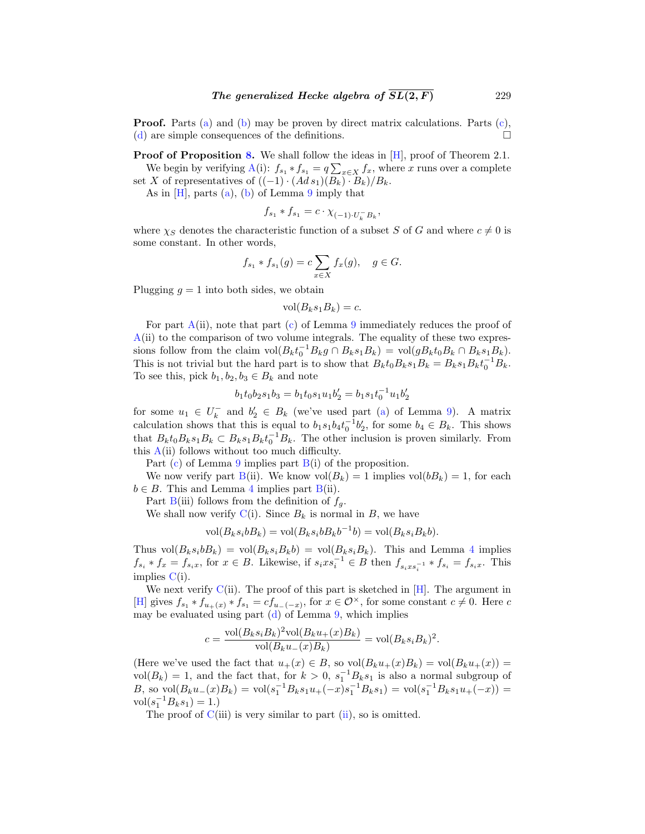**Proof.** Parts [\(a](#page-5-0)) and [\(b\)](#page-5-0) may be proven by direct matrix calculations. Parts [\(c\)](#page-5-0), ([d](#page-5-0)) are simple consequences of the definitions.

**Proof of Proposition [8](#page-4-0).** We shall follow the ideas in [[H](#page-12-0)], proof of Theorem 2.1.

We begin by verifying  $A(i)$  $A(i)$ :  $f_{s_1} * f_{s_1} = q \sum_{x \in X} f_x$ , where x runs over a complete set X of representatives of  $((-1) \cdot (Ad s_1)(B_k) \cdot B_k)/B_k$ .

As in  $[H]$  $[H]$  $[H]$ , parts [\(a](#page-5-0)), [\(b\)](#page-5-0) of Lemma [9](#page-5-0) imply that

$$
f_{s_1} * f_{s_1} = c \cdot \chi_{(-1) \cdot U_k^- B_k},
$$

where  $\chi_S$  denotes the characteristic function of a subset S of G and where  $c \neq 0$  is some constant. In other words,

$$
f_{s_1} * f_{s_1}(g) = c \sum_{x \in X} f_x(g), \quad g \in G.
$$

Plugging  $g = 1$  into both sides, we obtain

$$
vol(B_k s_1 B_k) = c.
$$

For part  $A(ii)$  $A(ii)$ , note that part ([c\)](#page-5-0) of Lemma [9](#page-5-0) immediately reduces the proof of  $A(i)$  $A(i)$  to the comparison of two volume integrals. The equality of these two expressions follow from the claim  $\text{vol}(B_k t_0^{-1} B_k g \cap B_k s_1 B_k) = \text{vol}(g B_k t_0 B_k \cap B_k s_1 B_k).$ This is not trivial but the hard part is to show that  $B_k t_0 B_k s_1 B_k = B_k s_1 B_k t_0^{-1} B_k$ . To see this, pick  $b_1, b_2, b_3 \in B_k$  and note

$$
b_1t_0b_2s_1b_3 = b_1t_0s_1u_1b_2' = b_1s_1t_0^{-1}u_1b_2'
$$

for some  $u_1 \in U_k^-$  and  $b_2' \in B_k$  (we've used part [\(a](#page-5-0)) of Lemma [9](#page-5-0)). A matrix calculation shows that this is equal to  $b_1s_1b_4t_0^{-1}b_2'$ , for some  $b_4 \in B_k$ . This shows that  $B_k t_0 B_k s_1 B_k \subset B_k s_1 B_k t_0^{-1} B_k$ . The other inclusion is proven similarly. From this  $A(i)$  $A(i)$  follows without too much difficulty.

Part  $(c)$  of Lemma [9](#page-5-0) implies part  $B(i)$  $B(i)$  of the proposition.

We now verify part  $B(ii)$  $B(ii)$ . We know  $vol(B_k) = 1$  implies  $vol(bB_k) = 1$ , for each  $b \in B$ . This and Lemma [4](#page-3-0) implies part  $B(ii)$  $B(ii)$ .

Part [B](#page-5-0)(iii) follows from the definition of  $f<sub>g</sub>$ .

We shall now verify  $C(i)$  $C(i)$ . Since  $B_k$  is normal in B, we have

$$
vol(B_ks_i bB_k) = vol(B_ks_i bB_kb^{-1}b) = vol(B_ks_i B_kb).
$$

Thus  $vol(B_ks_i bB_k) = vol(B_ks_i B_k b) = vol(B_ks_i B_k)$ . This and Lemma [4](#page-3-0) implies  $f_{s_i} * f_x = f_{s_i x}$ , for  $x \in B$ . Likewise, if  $s_i x s_i^{-1} \in B$  then  $f_{s_i x s_i^{-1}} * f_{s_i} = f_{s_i x}$ . This implies  $C(i)$  $C(i)$ .

We next verify  $C(i)$  $C(i)$ . The proof of this part is sketched in [\[H](#page-12-0)]. The argument in [\[H\]](#page-12-0) gives  $f_{s_1} * f_{u_+(x)} * f_{s_1} = cf_{u_-(-x)}$ , for  $x \in \mathcal{O}^{\times}$ , for some constant  $c \neq 0$ . Here c may be evaluate[d](#page-5-0) using part  $(d)$  of Lemma [9,](#page-5-0) which implies

$$
c = \frac{\text{vol}(B_ks_iB_k)^2\text{vol}(B_ku_+(x)B_k)}{\text{vol}(B_ku_-(x)B_k)} = \text{vol}(B_ks_iB_k)^2.
$$

(Here we've used the fact that  $u_+(x) \in B$ , so  $vol(B_k u_+(x)B_k) = vol(B_k u_+(x)) =$ vol $(B_k) = 1$ , and the fact that, for  $k > 0$ ,  $s_1^{-1}B_ks_1$  is also a normal subgroup of B, so  $vol(B_k u_-(x)B_k) = vol(s_1^{-1}B_k s_1 u_+(-x)s_1^{-1}B_k s_1) = vol(s_1^{-1}B_k s_1 u_+(-x)) =$  $\text{vol}(s_1^{-1}B_ks_1) = 1.$ 

The proof of  $C(iii)$  $C(iii)$  is very similar to part  $(ii)$ , so is omitted.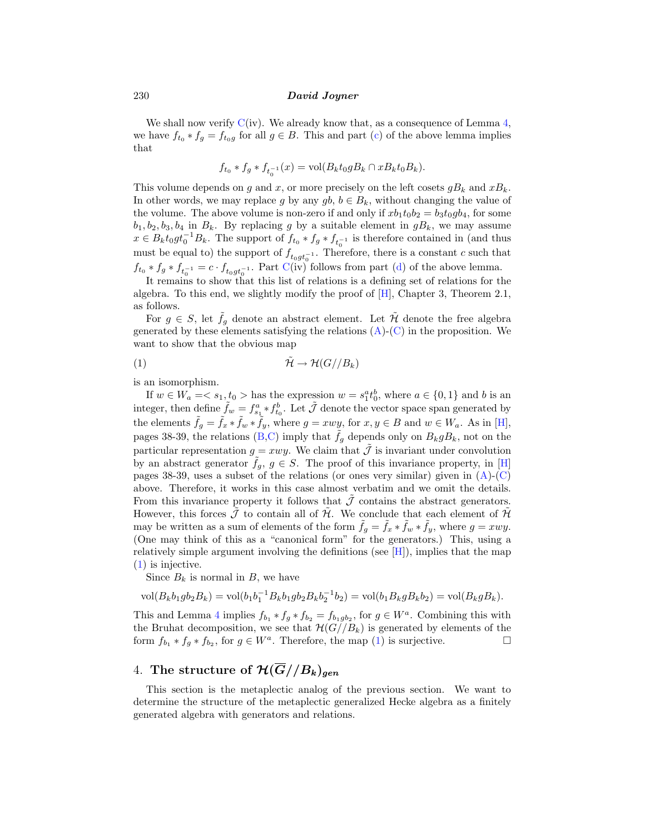<span id="page-7-0"></span>We shall now verify  $C(iv)$  $C(iv)$ . We already know that, as a consequence of Lemma [4,](#page-3-0) we have  $f_{t_0} * f_g = f_{t_0g}$  for all  $g \in B$ . This and part [\(c\)](#page-5-0) of the above lemma implies that

$$
f_{t_0} * f_g * f_{t_0^{-1}}(x) = \text{vol}(B_k t_0 g B_k \cap x B_k t_0 B_k).
$$

This volume depends on g and x, or more precisely on the left cosets  $gB_k$  and  $xB_k$ . In other words, we may replace g by any  $gb, b \in B_k$ , without changing the value of the volume. The above volume is non-zero if and only if  $x b_1 t_0 b_2 = b_3 t_0 g b_4$ , for some  $b_1, b_2, b_3, b_4$  in  $B_k$ . By replacing g by a suitable element in  $gB_k$ , we may assume  $x \in B_k t_0 g t_0^{-1} B_k$ . The support of  $f_{t_0} * f_g * f_{t_0^{-1}}$  is therefore contained in (and thus must be equal to) the support of  $f_{t_0gt_0^{-1}}$ . Therefore, there is a constant c such that  $f_{t_0} * f_g * f_{t_0^{-1}} = c \cdot f_{t_0gt_0^{-1}}$ . Part [C](#page-5-0)(iv) follows from part [\(d\)](#page-5-0) of the above lemma.

It remains to show that this list of relations is a defining set of relations for the algebra. To this end, we slightly modify the proof of [[H](#page-12-0)], Chapter 3, Theorem 2.1, as follows.

For  $g \in S$ , let  $\tilde{f}_g$  denote an abstract element. Let  $\tilde{\mathcal{H}}$  denote the free algebra generated by these elements satisfying the relations  $(A)$  $(A)$  $(A)$ - $(C)$  $(C)$  in the proposition. We want to show that the obvious map

$$
(1) \t\t \tilde{\mathcal{H}} \to \mathcal{H}(G//B_k)
$$

is an isomorphism.

If  $w \in W_a = \langle s_1, t_0 \rangle$  has the expression  $w = s_1^a t_0^b$ , where  $a \in \{0, 1\}$  and b is an integer, then define  $\tilde{f}_w = f_{s_1}^a * f_{t_0}^b$ . Let  $\tilde{J}$  denote the vector space span generated by the elements  $\tilde{f}_g = \tilde{f}_x * \tilde{f}_w * \tilde{f}_y$ , where  $g = xwy$ , for  $x, y \in B$  and  $w \in W_a$ . As in [\[H\]](#page-12-0), pages 38-39, the relations [\(B,C](#page-5-0)) imply that  $\tilde{f}_q$  depends only on  $B_k g B_k$ , not on the particular representation  $g = xwy$ . We claim that  $\tilde{J}$  is invariant under convolution by an abstract generator  $f_g$ ,  $g \in S$ . The proof of this invariance property, in [\[H\]](#page-12-0) pages 38-39, uses a subset of the relations (or ones very similar) given in  $(A)$  $(A)$  $(A)$ - $(C)$  $(C)$ above. Therefore, it works in this case almost verbatim and we omit the details. From this invariance property it follows that  $\tilde{\mathcal{J}}$  contains the abstract generators. However, this forces  $\mathcal J$  to contain all of  $\mathcal H$ . We conclude that each element of  $\mathcal H$ may be written as a sum of elements of the form  $\tilde{f}_q = \tilde{f}_x * \tilde{f}_w * \tilde{f}_y$ , where  $g = xwy$ . (One may think of this as a "canonical form" for the generators.) This, using a relatively simple argument involving the definitions (see  $[H]$  $[H]$  $[H]$ ), implies that the map (1) is injective.

Since  $B_k$  is normal in B, we have

$$
\text{vol}(B_k b_1 g b_2 B_k) = \text{vol}(b_1 b_1^{-1} B_k b_1 g b_2 B_k b_2^{-1} b_2) = \text{vol}(b_1 B_k g B_k b_2) = \text{vol}(B_k g B_k).
$$

This and Lemma [4](#page-3-0) implies  $f_{b_1} * f_g * f_{b_2} = f_{b_1gb_2}$ , for  $g \in W^a$ . Combining this with the Bruhat decomposition, we see that  $H(G//B_k)$  is generated by elements of the form  $f_{b_1} * f_g * f_{b_2}$ , for  $g \in W^a$ . Therefore, the map (1) is surjective.

## 4. The structure of  $\mathcal{H}(\overline{G}//B_k)_{gen}$

This section is the metaplectic analog of the previous section. We want to determine the structure of the metaplectic generalized Hecke algebra as a finitely generated algebra with generators and relations.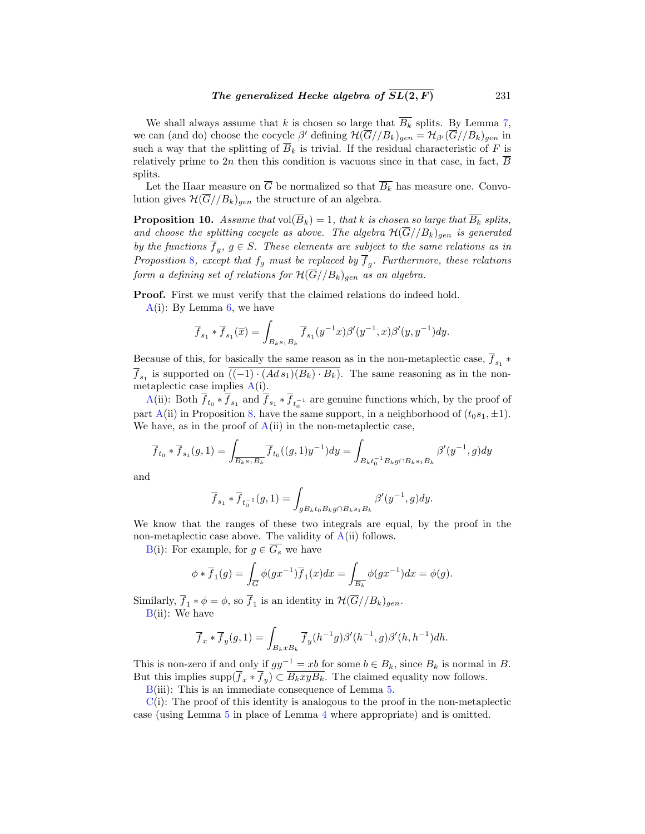<span id="page-8-0"></span>We shall always assume that k is chosen so large that  $\overline{B_k}$  splits. By Lemma [7,](#page-4-0) we can (and do) choose the cocycle  $\beta'$  defining  $\mathcal{H}(\overline{G}/B_k)_{gen} = \mathcal{H}_{\beta'}(\overline{G}/B_k)_{gen}$  in such a way that the splitting of  $\overline{B}_k$  is trivial. If the residual characteristic of F is relatively prime to 2n then this condition is vacuous since in that case, in fact,  $\overline{B}$ splits.

Let the Haar measure on  $\overline{G}$  be normalized so that  $\overline{B_k}$  has measure one. Convolution gives  $\mathcal{H}(\overline{G}/B_k)_{gen}$  the structure of an algebra.

**Proposition 10.** Assume that  $vol(\overline{B}_k)=1$ , that k is chosen so large that  $\overline{B_k}$  splits, and choose the splitting cocycle as above. The algebra  $\mathcal{H}(\overline{G}/B_k)_{gen}$  is generated by the functions  $\overline{f}_q$ ,  $g \in S$ . These elements are subject to the same relations as in Proposition [8](#page-4-0), except that  $f_g$  must be replaced by  $\overline{f}_g$ . Furthermore, these relations form a defining set of relations for  $H(G//B_k)_{gen}$  as an algebra.

**Proof.** First we must verify that the claimed relations do indeed hold.

 $A(i)$  $A(i)$ : By Lemma [6,](#page-4-0) we have

$$
\overline{f}_{s_1} * \overline{f}_{s_1}(\overline{x}) = \int_{B_{k}s_1B_k} \overline{f}_{s_1}(y^{-1}x)\beta'(y^{-1},x)\beta'(y,y^{-1})dy.
$$

Because of this, for basically the same reason as in the non-metaplectic case,  $\overline{f}_{s_1}$  \*  $\overline{f}_{s_1}$  is supported on  $\overline{((-1)\cdot(Ads_1)(B_k)\cdot B_k)}$ . The same reasoning as in the nonmetaplectic case implies  $A(i)$  $A(i)$ .

[A](#page-4-0)(ii): Both  $f_{t_0} * f_{s_1}$  and  $f_{s_1} * f_{t_0^{-1}}$  are genuine functions which, by the proof of part [A](#page-4-0)(ii) in Proposition [8](#page-4-0), have the same support, in a neighborhood of  $(t_0s_1, \pm 1)$ . We have, as in the proof of  $A(i)$  $A(i)$  in the non-metaplectic case,

$$
\overline{f}_{t_0}*\overline{f}_{s_1}(g,1)=\int_{\overline{B_ks_1B_k}}\overline{f}_{t_0}((g,1)y^{-1})dy=\int_{B_kt_0^{-1}B_kg\cap B_ks_1B_k}\beta'(y^{-1},g)dy
$$

and

$$
\overline{f}_{s_1} * \overline{f}_{t_0^{-1}}(g, 1) = \int_{gB_k t_0 B_k g \cap B_k s_1 B_k} \beta'(y^{-1}, g) dy.
$$

We know that the ranges of these two integrals are equal, by the proof in the non-metaplectic case above. The validity of  $A(i)$  $A(i)$  follows.

[B\(](#page-5-0)i): For example, for  $g \in \overline{G_s}$  we have

$$
\phi * \overline{f}_1(g) = \int_{\overline{G}} \phi(gx^{-1}) \overline{f}_1(x) dx = \int_{\overline{B_k}} \phi(gx^{-1}) dx = \phi(g).
$$

Similarly,  $\overline{f}_1 * \phi = \phi$ , so  $\overline{f}_1$  is an identity in  $\mathcal{H}(\overline{G}/B_k)_{gen}$ .

 $B(ii)$  $B(ii)$ : We have

$$
\overline{f}_x * \overline{f}_y(g,1) = \int_{B_k x B_k} \overline{f}_y(h^{-1}g) \beta'(h^{-1},g) \beta'(h,h^{-1}) dh.
$$

This is non-zero if and only if  $gy^{-1} = xb$  for some  $b \in B_k$ , since  $B_k$  is normal in B. But this implies supp $(\overline{f}_x * \overline{f}_y) \subset \overline{B_kxyB_k}$ . The claimed equality now follows.

[B\(](#page-5-0)iii): This is an immediate consequence of Lemma [5](#page-3-0).

 $C(i)$  $C(i)$ : The proof of this identity is analogous to the proof in the non-metaplectic case (using Lemma [5](#page-3-0) in place of Lemma [4](#page-3-0) where appropriate) and is omitted.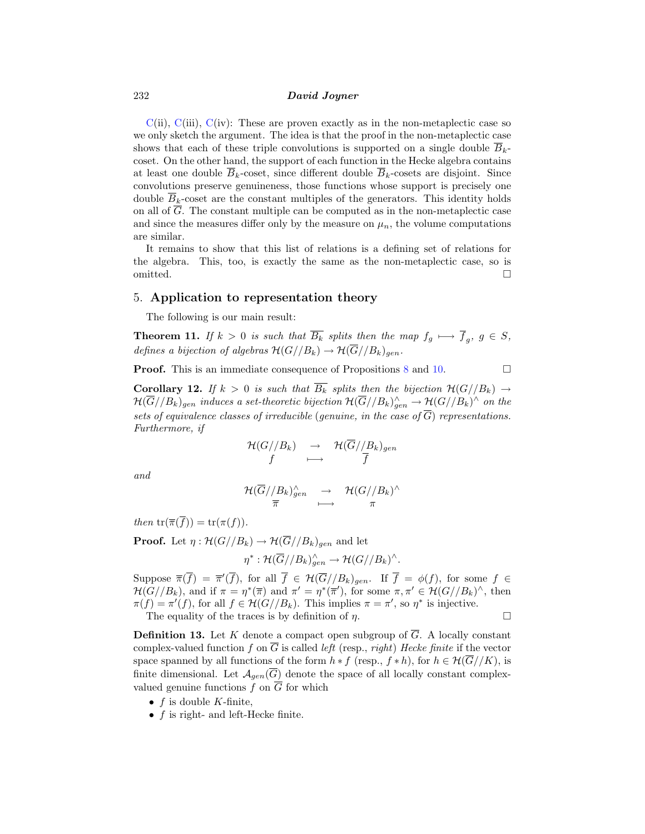<span id="page-9-0"></span> $C(ii)$  $C(ii)$ ,  $C(iii)$ ,  $C(iv)$ : These are proven exactly as in the non-metaplectic case so we only sketch the argument. The idea is that the proof in the non-metaplectic case shows that each of these triple convolutions is supported on a single double  $\overline{B}_{k-1}$ coset. On the other hand, the support of each function in the Hecke algebra contains at least one double  $\overline{B}_k$ -coset, since different double  $\overline{B}_k$ -cosets are disjoint. Since convolutions preserve genuineness, those functions whose support is precisely one double  $\overline{B}_k$ -coset are the constant multiples of the generators. This identity holds on all of G. The constant multiple can be computed as in the non-metaplectic case and since the measures differ only by the measure on  $\mu_n$ , the volume computations are similar.

It remains to show that this list of relations is a defining set of relations for the algebra. This, too, is exactly the same as the non-metaplectic case, so is omitted.  $\square$ 

#### 5. **Application to representation theory**

The following is our main result:

**Theorem 11.** If  $k > 0$  is such that  $\overline{B_k}$  splits then the map  $f_q \mapsto \overline{f}_q$ ,  $g \in S$ , defines a bijection of algebras  $\mathcal{H}(G//B_k) \to \mathcal{H}(\overline{G}//B_k)_{gen}$ .

**Proof.** This is an immediate consequence of Propositions [8](#page-4-0) and [10.](#page-8-0)

**Corollary 12.** If  $k > 0$  is such that  $\overline{B_k}$  splits then the bijection  $\mathcal{H}(G//B_k) \to$  $\mathcal{H}(\overline{G}/B_k)_{gen}$  induces a set-theoretic bijection  $\mathcal{H}(\overline{G}/B_k)_{gen}^\wedge \to \mathcal{H}(G//B_k)^\wedge$  on the sets of equivalence classes of irreducible (genuine, in the case of  $\overline{G}$ ) representations. Furthermore, if

$$
\begin{array}{ccc}\mathcal{H}(G//B_k) & \to & \mathcal{H}(\overline{G}//B_k)_{gen}\\ f & \longmapsto & \overline{f}\end{array}
$$

and

$$
\frac{{\mathcal H}(\overline{G}//B_k)_{gen}^{\wedge}}{\overline{\pi}}\quad\stackrel{\longrightarrow}{\longrightarrow}\quad\frac{{\mathcal H}(G//B_k)^{\wedge}}{\pi}
$$

then  $tr(\overline{\pi}(\overline{f})) = tr(\pi(f)).$ 

**Proof.** Let  $\eta : \mathcal{H}(G//B_k) \to \mathcal{H}(\overline{G}//B_k)_{gen}$  and let

 $\eta^*:\mathcal{H}(G//B_k)_{gen}^{\wedge}\to \mathcal{H}(G//B_k)^{\wedge}.$ 

Suppose  $\overline{\pi}(f) = \overline{\pi}'(f)$ , for all  $f \in \mathcal{H}(G//B_k)_{gen}$ . If  $f = \phi(f)$ , for some  $f \in$  $\mathcal{H}(G//B_k)$ , and if  $\pi = \eta^*(\overline{\pi})$  and  $\pi' = \eta^*(\overline{\pi}')$ , for some  $\pi, \pi' \in \mathcal{H}(G//B_k)^{\wedge}$ , then  $\pi(f) = \pi'(f)$ , for all  $f \in \mathcal{H}(G//B_k)$ . This implies  $\pi = \pi'$ , so  $\eta^*$  is injective.

The equality of the traces is by definition of  $\eta$ .

**Definition 13.** Let K denote a compact open subgroup of  $\overline{G}$ . A locally constant complex-valued function f on  $\overline{G}$  is called *left* (resp., *right*) Hecke finite if the vector space spanned by all functions of the form  $h * f$  (resp.,  $f * h$ ), for  $h \in \mathcal{H}(\overline{G}//K)$ , is finite dimensional. Let  $\mathcal{A}_{gen}(\overline{G})$  denote the space of all locally constant complexvalued genuine functions f on  $\overline{G}$  for which

- $f$  is double K-finite,
- $f$  is right- and left-Hecke finite.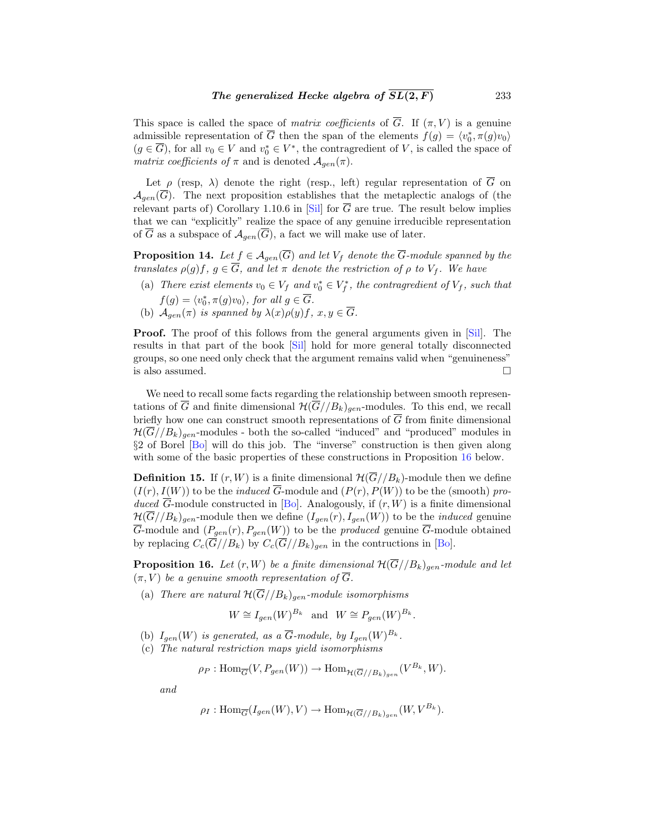<span id="page-10-0"></span>This space is called the space of *matrix coefficients* of  $\overline{G}$ . If  $(\pi, V)$  is a genuine admissible representation of G then the span of the elements  $f(g) = \langle v_0^*, \pi(g)v_0 \rangle$  $(g \in \overline{G})$ , for all  $v_0 \in V$  and  $v_0^* \in V^*$ , the contragredient of V, is called the space of matrix coefficients of  $\pi$  and is denoted  $\mathcal{A}_{gen}(\pi)$ .

Let  $\rho$  (resp,  $\lambda$ ) denote the right (resp., left) regular representation of  $\overline{G}$  on  $\mathcal{A}_{gen}(\overline{G})$ . The next proposition establishes that the metaplectic analogs of (the relevant parts of) Corollary 1.10.6 in [\[Sil](#page-12-0)] for  $\overline{G}$  are true. The result below implies that we can "explicitly" realize the space of any genuine irreducible representation of  $\overline{G}$  as a subspace of  $\mathcal{A}_{gen}(\overline{G})$ , a fact we will make use of later.

**Proposition 14.** Let  $f \in \mathcal{A}_{gen}(\overline{G})$  and let  $V_f$  denote the  $\overline{G}$ -module spanned by the translates  $\rho(g)f, g \in \overline{G}$ , and let  $\pi$  denote the restriction of  $\rho$  to  $V_f$ . We have

- (a) There exist elements  $v_0 \in V_f$  and  $v_0^* \in V_f^*$ , the contragredient of  $V_f$ , such that  $f(g) = \langle v_0^*, \pi(g)v_0 \rangle$ , for all  $g \in G$ .
- (b)  $\mathcal{A}_{gen}(\pi)$  is spanned by  $\lambda(x)\rho(y)f$ ,  $x, y \in G$ .

**Proof.** The proof of this follows from the general arguments given in [[Sil\]](#page-12-0). The results in that part of the book [\[Sil](#page-12-0)] hold for more general totally disconnected groups, so one need only check that the argument remains valid when "genuineness" is also assumed.  $\hfill \square$ 

We need to recall some facts regarding the relationship between smooth representations of  $\overline{G}$  and finite dimensional  $\mathcal{H}(\overline{G}//B_k)_{gen}$ -modules. To this end, we recall briefly how one can construct smooth representations of  $\overline{G}$  from finite dimensional  $\mathcal{H}(\overline{G}/B_k)_{gen}$ -modules - both the so-called "induced" and "produced" modules in §2 of Borel [\[Bo](#page-12-0)] will do this job. The "inverse" construction is then given along with some of the basic properties of these constructions in Proposition 16 below.

**Definition 15.** If  $(r, W)$  is a finite dimensional  $\mathcal{H}(G//B_k)$ -module then we define  $(I(r), I(W))$  to be the *induced*  $\overline{G}$ -module and  $(P(r), P(W))$  to be the (smooth) produced  $\overline{G}$ -module constructed in [\[Bo](#page-12-0)]. Analogously, if  $(r, W)$  is a finite dimensional  $\mathcal{H}(\overline{G}/B_k)_{gen}$ -module then we define  $(I_{gen}(r), I_{gen}(W))$  to be the *induced* genuine G-module and  $(P_{gen}(r), P_{gen}(W))$  to be the *produced* genuine G-module obtained by replacing  $C_c(\overline{G}/B_k)$  by  $C_c(\overline{G}/B_k)_{gen}$  in the contructions in [\[Bo](#page-12-0)].

**Proposition 16.** Let  $(r, W)$  be a finite dimensional  $\mathcal{H}(\overline{G}//B_k)_{gen}$ -module and let  $(\pi, V)$  be a genuine smooth representation of  $\overline{G}$ .

(a) There are natural  $\mathcal{H}(\overline{G}/B_k)_{gen}$ -module isomorphisms

$$
W \cong I_{gen}(W)^{B_k}
$$
 and  $W \cong P_{gen}(W)^{B_k}$ .

- (b)  $I_{gen}(W)$  is generated, as a  $\overline{G}$ -module, by  $I_{gen}(W)^{B_k}$ .
- (c) The natural restriction maps yield isomorphisms

$$
\rho_P: \text{Hom}_{\overline{G}}(V, P_{gen}(W)) \to \text{Hom}_{\mathcal{H}(\overline{G}//B_k)_{gen}}(V^{B_k}, W).
$$

and

$$
\rho_I: \text{Hom}_{\overline{G}}(I_{gen}(W), V) \to \text{Hom}_{\mathcal{H}(\overline{G}//B_k)_{gen}}(W, V^{B_k}).
$$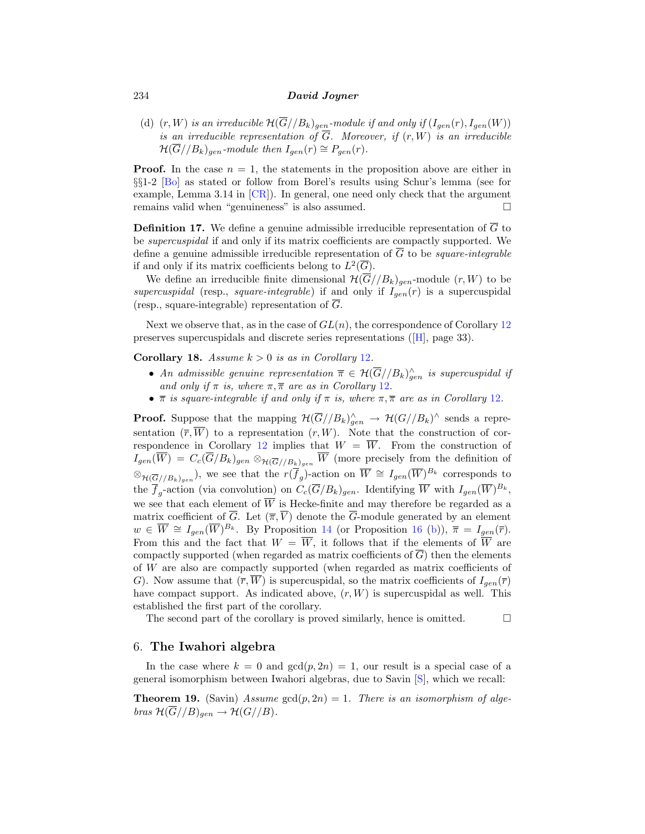<span id="page-11-0"></span>(d)  $(r, W)$  is an irreducible  $\mathcal{H}(\overline{G}/B_k)_{gen}$ -module if and only if  $(I_{gen}(r), I_{gen}(W))$ is an irreducible representation of  $\overline{G}$ . Moreover, if  $(r, W)$  is an irreducible  $\mathcal{H}(\overline{G}/B_k)_{gen}\text{-}module then I_{gen}(r) \cong P_{gen}(r).$ 

**Proof.** In the case  $n = 1$ , the statements in the proposition above are either in §§1-2 [\[Bo](#page-12-0)] as stated or follow from Borel's results using Schur's lemma (see for example, Lemma 3.14 in [[CR](#page-12-0)]). In general, one need only check that the argument remains valid when "genuineness" is also assumed.

**Definition 17.** We define a genuine admissible irreducible representation of  $\overline{G}$  to be supercuspidal if and only if its matrix coefficients are compactly supported. We define a genuine admissible irreducible representation of  $\overline{G}$  to be *square-integrable* if and only if its matrix coefficients belong to  $L^2(\overline{G})$ .

We define an irreducible finite dimensional  $\mathcal{H}(\overline{G}/B_k)_{gen}$ -module  $(r, W)$  to be supercuspidal (resp., square-integrable) if and only if  $I_{gen}(r)$  is a supercuspidal (resp., square-integrable) representation of  $\overline{G}$ .

Next we observe that, as in the case of  $GL(n)$ , the correspondence of Corollary [12](#page-9-0) preserves supercuspidals and discrete series representations ([\[H\]](#page-12-0), page 33).

**Corollary 18.** Assume  $k > 0$  is as in Corollary [12](#page-9-0).

- An admissible genuine representation  $\overline{\pi} \in \mathcal{H}(G//B_k)_{gen}^{\wedge}$  is supercuspidal if and only if  $\pi$  is, where  $\pi, \overline{\pi}$  are as in Corollary [12](#page-9-0).
- $\bar{\pi}$  is square-integrable if and only if  $\pi$  is, where  $\pi, \bar{\pi}$  are as in Corollary [12](#page-9-0).

**Proof.** Suppose that the mapping  $\mathcal{H}(\overline{G}/B_k)_{gen}^{\wedge} \to \mathcal{H}(G//B_k)^{\wedge}$  sends a representation  $(\overline{r}, \overline{W})$  to a representation  $(r, W)$ . Note that the construction of cor-respondence in Corollary [12](#page-9-0) implies that  $W = \overline{W}$ . From the construction of  $I_{gen}(W) = C_c(G/B_k)_{gen} \otimes_{\mathcal{H}(\overline{G}//B_k)_{gen}} W$  (more precisely from the definition of  $\otimes_{\mathcal{H}(\overline{G}/B_k)_{gen}}$ , we see that the  $r(\overline{f}_g)$ -action on  $\overline{W} \cong I_{gen}(\overline{W})^{B_k}$  corresponds to the  $\overline{f}_g$ -action (via convolution) on  $C_c(\overline{G}/B_k)_{gen}$ . Identifying  $\overline{W}$  with  $I_{gen}(\overline{W})^{B_k}$ , we see that each element of  $\overline{W}$  is Hecke-finite and may therefore be regarded as a matrix coefficient of  $\overline{G}$ . Let  $(\overline{\pi}, \overline{V})$  denote the  $\overline{G}$ -module generated by an element  $w \in \overline{W} \cong I_{gen}(\overline{W})^{B_k}$ . By Proposition [14](#page-10-0) (or Proposition [16](#page-10-0) [\(b\)](#page-10-0)),  $\overline{\pi} = I_{gen}(\overline{r})$ . From this and the fact that  $W = \overline{W}$ , it follows that if the elements of  $\overline{W}$  are compactly supported (when regarded as matrix coefficients of  $\overline{G}$ ) then the elements of W are also are compactly supported (when regarded as matrix coefficients of G). Now assume that  $(\overline{r}, \overline{W})$  is supercuspidal, so the matrix coefficients of  $I_{gen}(\overline{r})$ have compact support. As indicated above,  $(r, W)$  is supercuspidal as well. This established the first part of the corollary.

The second part of the corollary is proved similarly, hence is omitted.  $\Box$ 

#### 6. **The Iwahori algebra**

In the case where  $k = 0$  and  $gcd(p, 2n) = 1$ , our result is a special case of a general isomorphism between Iwahori algebras, due to Savin [\[S\]](#page-12-0), which we recall:

**Theorem 19.** (Savin) Assume  $gcd(p, 2n) = 1$ . There is an isomorphism of algebras  $\mathcal{H}(\overline{G}/B)_{gen} \to \mathcal{H}(G//B)$ .